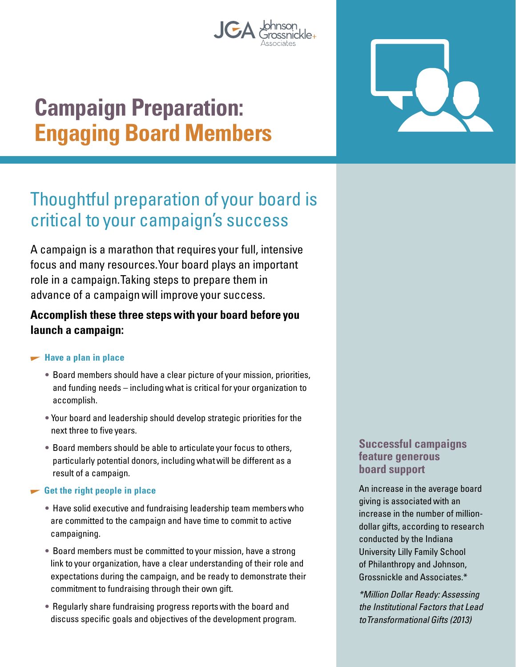

# **Campaign Preparation: Engaging Board Members**

## Thoughtful preparation of your board is critical to your campaign's success

A campaign is a marathon that requires your full, intensive focus and many resources. Your board plays an important role in a campaign. Taking steps to prepare them in advance of a campaign will improve your success.

#### **Accomplish these three steps with your board before you launch a campaign:**

#### $\blacktriangleright$  **Have a plan in place**

- Board members should have a clear picture of your mission, priorities, and funding needs – including what is critical for your organization to accomplish.
- Your board and leadership should develop strategic priorities for the next three to five years.
- Board members should be able to articulate your focus to others, particularly potential donors, including what will be different as a result of a campaign.

#### **Get the right people in place**

- Have solid executive and fundraising leadership team members who are committed to the campaign and have time to commit to active campaigning.
- Board members must be committed to your mission, have a strong link to your organization, have a clear understanding of their role and expectations during the campaign, and be ready to demonstrate their commitment to fundraising through their own gift.
- Regularly share fundraising progress reports with the board and discuss specific goals and objectives of the development program.

#### **Successful campaigns feature generous board support**

An increase in the average board giving is associated with an increase in the number of milliondollar gifts, according to research conducted by the Indiana University Lilly Family School of Philanthropy and Johnson, Grossnickle and Associates.\*

\*Million Dollar Ready: Assessing the Institutional Factors that Lead to Transformational Gifts (2013)